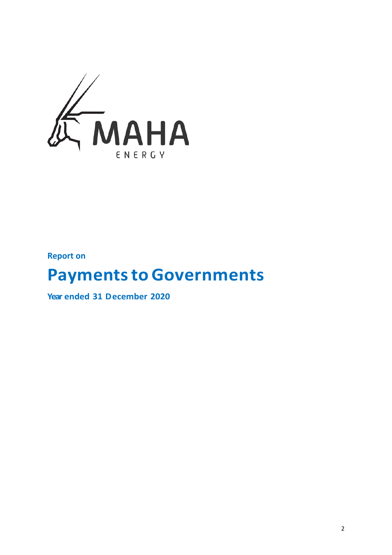

**Report on**

# **Payments to Governments**

**Year ended 31 December 2020**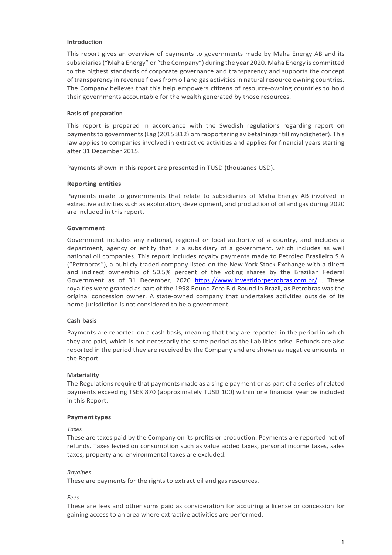## **Introduction**

This report gives an overview of payments to governments made by Maha Energy AB and its subsidiaries("Maha Energy" or "the Company") during the year 2020. Maha Energy is committed to the highest standards of corporate governance and transparency and supports the concept of transparency in revenue flows from oil and gas activities in natural resource owning countries. The Company believes that this help empowers citizens of resource-owning countries to hold their governments accountable for the wealth generated by those resources.

## **Basis of preparation**

This report is prepared in accordance with the Swedish regulations regarding report on payments to governments (Lag (2015:812) om rapportering av betalningar till myndigheter). This law applies to companies involved in extractive activities and applies for financial years starting after 31 December 2015.

Payments shown in this report are presented in TUSD (thousands USD).

## **Reporting entities**

Payments made to governments that relate to subsidiaries of Maha Energy AB involved in extractive activities such as exploration, development, and production of oil and gas during 2020 are included in this report.

# **Government**

Government includes any national, regional or local authority of a country, and includes a department, agency or entity that is a subsidiary of a government, which includes as well national oil companies. This report includes royalty payments made to Petróleo Brasileiro S.A ("Petrobras"), a publicly traded company listed on the New York Stock Exchange with a direct and indirect ownership of 50.5% percent of the voting shares by the Brazilian Federal Government as of 31 December, 2020 <https://www.investidorpetrobras.com.br/> . These royalties were granted as part of the 1998 Round Zero Bid Round in Brazil, as Petrobras was the original concession owner. A state-owned company that undertakes activities outside of its home jurisdiction is not considered to be a government.

#### **Cash basis**

Payments are reported on a cash basis, meaning that they are reported in the period in which they are paid, which is not necessarily the same period as the liabilities arise. Refunds are also reported in the period they are received by the Company and are shown as negative amounts in the Report.

#### **Materiality**

The Regulations require that payments made as a single payment or as part of a series of related payments exceeding TSEK 870 (approximately TUSD 100) within one financial year be included in this Report.

#### **Paymenttypes**

#### *Taxes*

These are taxes paid by the Company on its profits or production. Payments are reported net of refunds. Taxes levied on consumption such as value added taxes, personal income taxes, sales taxes, property and environmental taxes are excluded.

# *Royalties*

These are payments for the rights to extract oil and gas resources.

*Fees*

These are fees and other sums paid as consideration for acquiring a license or concession for gaining access to an area where extractive activities are performed.